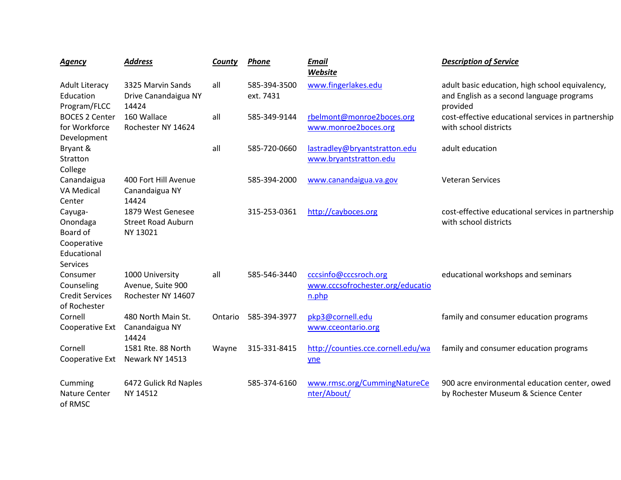| <b>Agency</b>                                                             | <b>Address</b>                                             | County  | <b>Phone</b>              | <b>Email</b><br>Website                                            | <b>Description of Service</b>                                                                            |
|---------------------------------------------------------------------------|------------------------------------------------------------|---------|---------------------------|--------------------------------------------------------------------|----------------------------------------------------------------------------------------------------------|
| <b>Adult Literacy</b><br>Education<br>Program/FLCC                        | 3325 Marvin Sands<br>Drive Canandaigua NY<br>14424         | all     | 585-394-3500<br>ext. 7431 | www.fingerlakes.edu                                                | adult basic education, high school equivalency,<br>and English as a second language programs<br>provided |
| <b>BOCES 2 Center</b><br>for Workforce<br>Development                     | 160 Wallace<br>Rochester NY 14624                          | all     | 585-349-9144              | rbelmont@monroe2boces.org<br>www.monroe2boces.org                  | cost-effective educational services in partnership<br>with school districts                              |
| Bryant &<br>Stratton<br>College                                           |                                                            | all     | 585-720-0660              | lastradley@bryantstratton.edu<br>www.bryantstratton.edu            | adult education                                                                                          |
| Canandaigua<br><b>VA Medical</b><br>Center                                | 400 Fort Hill Avenue<br>Canandaigua NY<br>14424            |         | 585-394-2000              | www.canandaigua.va.gov                                             | <b>Veteran Services</b>                                                                                  |
| Cayuga-<br>Onondaga<br>Board of<br>Cooperative<br>Educational<br>Services | 1879 West Genesee<br><b>Street Road Auburn</b><br>NY 13021 |         | 315-253-0361              | http://cayboces.org                                                | cost-effective educational services in partnership<br>with school districts                              |
| Consumer<br>Counseling<br><b>Credit Services</b><br>of Rochester          | 1000 University<br>Avenue, Suite 900<br>Rochester NY 14607 | all     | 585-546-3440              | cccsinfo@cccsroch.org<br>www.cccsofrochester.org/educatio<br>n.php | educational workshops and seminars                                                                       |
| Cornell<br>Cooperative Ext                                                | 480 North Main St.<br>Canandaigua NY<br>14424              | Ontario | 585-394-3977              | pkp3@cornell.edu<br>www.cceontario.org                             | family and consumer education programs                                                                   |
| Cornell<br>Cooperative Ext                                                | 1581 Rte. 88 North<br>Newark NY 14513                      | Wayne   | 315-331-8415              | http://counties.cce.cornell.edu/wa<br>yne                          | family and consumer education programs                                                                   |
| Cumming<br><b>Nature Center</b><br>of RMSC                                | 6472 Gulick Rd Naples<br>NY 14512                          |         | 585-374-6160              | www.rmsc.org/CummingNatureCe<br>nter/About/                        | 900 acre environmental education center, owed<br>by Rochester Museum & Science Center                    |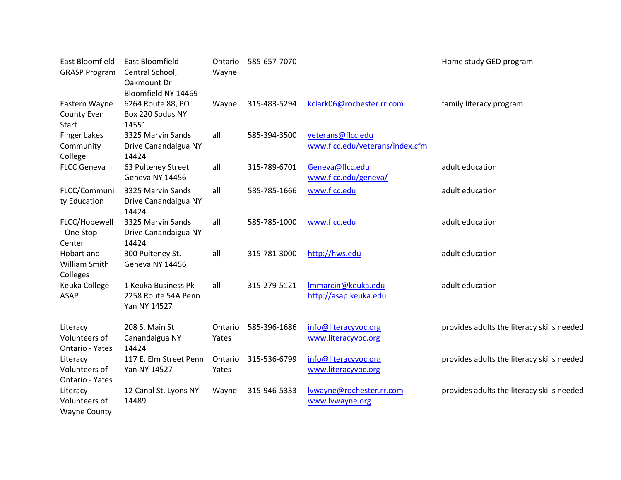| East Bloomfield<br><b>GRASP Program</b>          | East Bloomfield<br>Central School,<br>Oakmount Dr<br>Bloomfield NY 14469 | Ontario<br>Wayne | 585-657-7070 |                                                      | Home study GED program                     |
|--------------------------------------------------|--------------------------------------------------------------------------|------------------|--------------|------------------------------------------------------|--------------------------------------------|
| Eastern Wayne<br>County Even<br><b>Start</b>     | 6264 Route 88, PO<br>Box 220 Sodus NY<br>14551                           | Wayne            | 315-483-5294 | kclark06@rochester.rr.com                            | family literacy program                    |
| <b>Finger Lakes</b><br>Community<br>College      | 3325 Marvin Sands<br>Drive Canandaigua NY<br>14424                       | all              | 585-394-3500 | veterans@flcc.edu<br>www.flcc.edu/veterans/index.cfm |                                            |
| <b>FLCC Geneva</b>                               | 63 Pulteney Street<br>Geneva NY 14456                                    | all              | 315-789-6701 | Geneva@flcc.edu<br>www.flcc.edu/geneva/              | adult education                            |
| FLCC/Communi<br>ty Education                     | 3325 Marvin Sands<br>Drive Canandaigua NY<br>14424                       | all              | 585-785-1666 | www.flcc.edu                                         | adult education                            |
| FLCC/Hopewell<br>- One Stop<br>Center            | 3325 Marvin Sands<br>Drive Canandaigua NY<br>14424                       | all              | 585-785-1000 | www.flcc.edu                                         | adult education                            |
| Hobart and<br>William Smith<br>Colleges          | 300 Pulteney St.<br>Geneva NY 14456                                      | all              | 315-781-3000 | http://hws.edu                                       | adult education                            |
| Keuka College-<br><b>ASAP</b>                    | 1 Keuka Business Pk<br>2258 Route 54A Penn<br>Yan NY 14527               | all              | 315-279-5121 | Immarcin@keuka.edu<br>http://asap.keuka.edu          | adult education                            |
| Literacy<br>Volunteers of<br>Ontario - Yates     | 208 S. Main St<br>Canandaigua NY<br>14424                                | Ontario<br>Yates | 585-396-1686 | info@literacyvoc.org<br>www.literacyvoc.org          | provides adults the literacy skills needed |
| Literacy<br>Volunteers of<br>Ontario - Yates     | 117 E. Elm Street Penn<br>Yan NY 14527                                   | Ontario<br>Yates | 315-536-6799 | info@literacyvoc.org<br>www.literacyvoc.org          | provides adults the literacy skills needed |
| Literacy<br>Volunteers of<br><b>Wayne County</b> | 12 Canal St. Lyons NY<br>14489                                           | Wayne            | 315-946-5333 | lvwayne@rochester.rr.com<br>www.lvwayne.org          | provides adults the literacy skills needed |